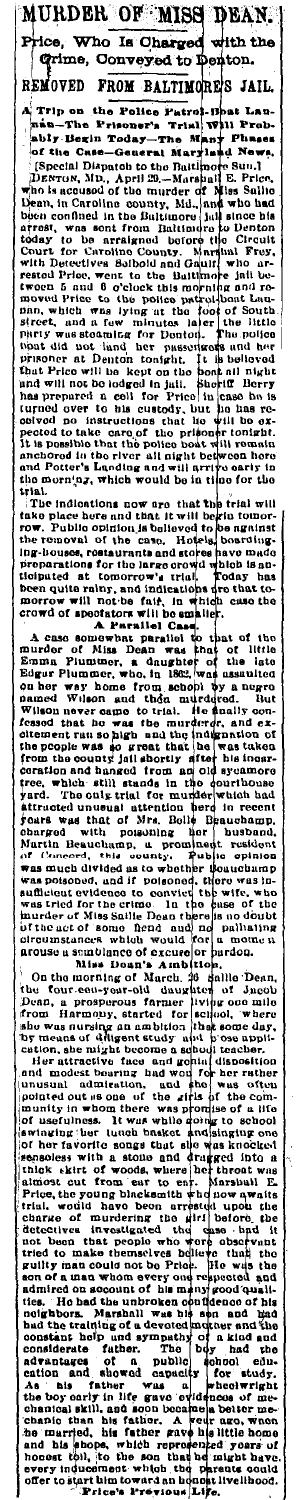Is Chai ith the Who л Grime, Conveyed to Denton. REMOVED FROM BALTIMORE'S JAIL. Trip on<br>--n-Th the Police Patrol-Boat Lau<br>soner's Trial Will Prob at Lau  $\ddot{\phantom{0}}$ ship. Begins Today-The Maple Theorem is the public of the Case-Generate Maryland News, (Special Dispatch to the Battlinger of Miss Suite Dispatch and the mount of the mount of Miss Suite Dispatch the mount of the mount of Phase Ñ

MURDER OF MISS DEAN.

iThe indication a now are that two structures in the signal and the particle of the number of the more and the two more that two more in the removal of the case. Hotels, boarding-lunge houses, costant and and stocker have

arouse a maintaine of exceeding the simulation of the base and the simulation of the function of the corresponding that the simulation of the simulation of the simulation of the simulation of the simulation of the simulati or the the control of the control of the control of the control of the control of the control of the control of the control of the control of the control of the control of the control of the control of the control of the c ties considerate ratner.<br>
actualized ratner.<br>
action and showed captualize for study.<br>
As his father was a webstwright<br>
the boy carry in life grave ovidences of me-<br>
the boy carry in life grave ovidences of me-<br>
chanical skill,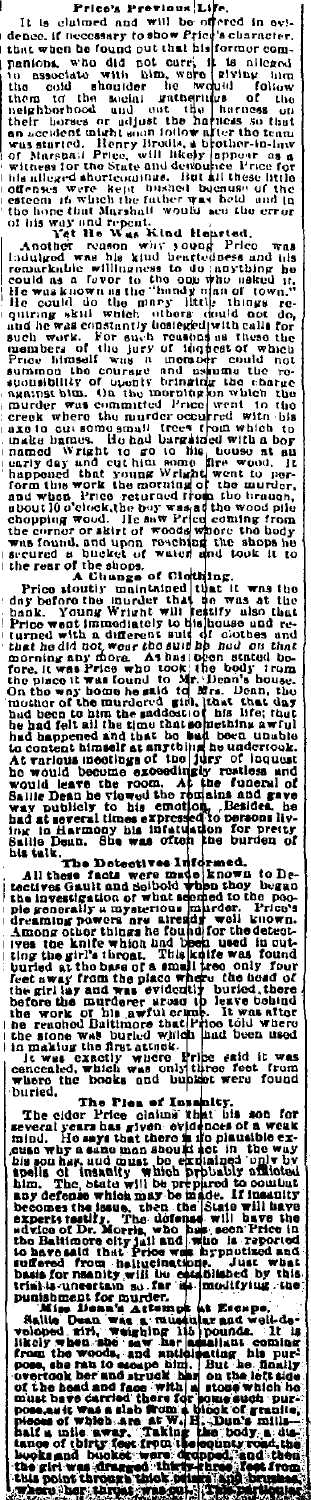r.<br>'scharacter.<br>'scharacter. It is clustered and will be offered in evidence. If needs<br>are the follower free descriptions who did not care; it is a liegged a<br>matrix with the bound out that his forcer comparison, who did not<br>do that his forcer compare منعان ūΙ iti<br>Unc<br>Un leges<br>ses were<br>one that lone<br>is way and<br>long the red la ame<br>ifense<br>ateem<br>ho hoj or<br>und<br>err

his alieng was been the state of the state of the state of the state of the state of the state of the state of this way and trepent. The base of the state of the state of the state of the state of the state of the state o

the rear of the shoose of Clockhing.<br>
Price stouting maintained that it was the<br>
proposition in maintained that it was the<br>
bank. Young Wright will relative also that<br>
bank. Young Wright will relative and re-<br>
brack with a was almeel and be being the property of the property of the property of the property of the property of the property of the property of the property of the property of the property of the property of the property of the pr variou<br>would loou rustless and<br>the funeral of<br>ains and gave<br>to persons lies<br>to persons lies<br>on for üle a. ile *L*<br>talk.<br>The

The Detective<br>All these facts were<br>ectives Gault and Solbic<br>his invessigation of which **Example:**<br>
known to De-<br>
known began<br>
harder. Price's<br>
well known.<br>
for the defect-<br>
for the defecte In ere mat<br>gre mat<br>what se as investigation of what seemed to the poor investigation of what seemed to the poor investigation in investigation. Pricely the original form of the property of the price of the property of the second to the property of t und<br>Ioul und altar work of his awful corrent that renoted built<br>more than buried with<br>making the first attack.<br>t was exactly where . 11<br>100 l<br>had ė ŬŅ ít e<br>d, from

fő and 'no 'horo<br>uried,

ried. The Please Instant<br>the cider Price claims that<br>ecal years has given evidence<br>of the say that there is it<br>now the same man about act and much the<br>southak and must be existing<br>now that and must be existed. y.<br>bia The evern,<br>nind, Ho<br>nuse why a<br>nells of<br>nells of a pic<br>epo<br>epo a sano ma<br>insanity<br>insanity<br>is which<br>is which which<br>may be<br>then<br>he don  $100$ im. The b s prep<br>be ma<br>a\_the wh.<br>
singue,<br>
ify. The<br>
recity juli<br>
it. Price<br>
it. it.<br>
it. becomes th ی<br>] 01<br>| 111<br>| 1 o Balti<br>havoi<br>"ared it<br>heliu<br>wili i, rde.<br>Itibi Just rta.<br>for n,

 $\begin{array}{c}\n\text{a} \text{ value} \\
\text{b} \text{ log } \text{i} \\
\text{w} \text{ line} \\
\text{d} \text{ mult} \\
\text{d} \text{ mult} \\
\text{d} \text{ with} \\
\text{d} \text{ mult} \\
\text{d} \text{ with} \\
\text{d} \text{ with} \\
\text{d} \text{ with} \\
\text{d} \text{ with} \\
\text{d} \text{ with} \\
\text{d} \text{ with} \\
\text{d} \text{ with} \\
\text{d} \text{ with} \\
\text{d} \text{ with} \\
\text{d} \text{ with} \\
\text{d} \text{ with} \\
\text{d} \text{ with}$ đ aud<br>und t<br>oming<br>Chasily<br>Chasily volon<br>Hisoly  $\frac{\text{a}}{\text{b}}$ î , 416<br>| 10 p. ï ъT. n's mills<br>ody a di<br>tr'iond ti ól 'n ä L,